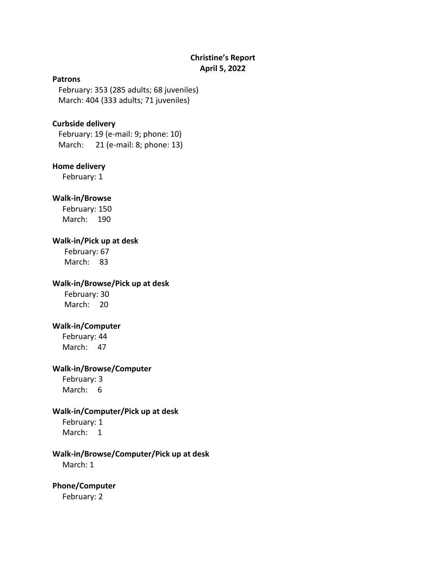# **Christine's Report April 5, 2022**

#### **Patrons**

 February: 353 (285 adults; 68 juveniles) March: 404 (333 adults; 71 juveniles)

### **Curbside delivery**

February: 19 (e-mail: 9; phone: 10) March: 21 (e-mail: 8; phone: 13)

## **Home delivery**

February: 1

### **Walk-in/Browse**

 February: 150 March: 190

### **Walk-in/Pick up at desk**

 February: 67 March: 83

#### **Walk-in/Browse/Pick up at desk**

 February: 30 March: 20

### **Walk-in/Computer**

 February: 44 March: 47

#### **Walk-in/Browse/Computer**

 February: 3 March: 6

### **Walk-in/Computer/Pick up at desk**

 February: 1 March: 1

# **Walk-in/Browse/Computer/Pick up at desk**

March: 1

# **Phone/Computer**

February: 2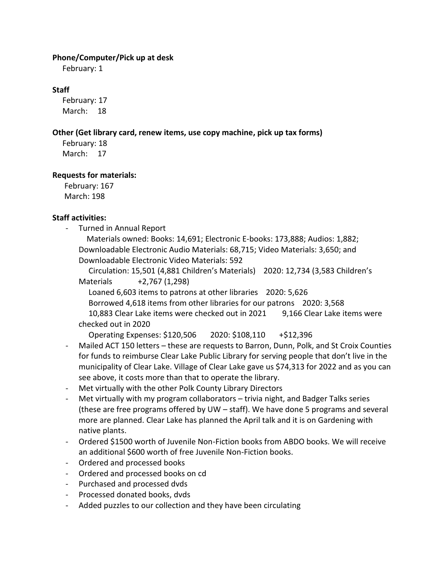## **Phone/Computer/Pick up at desk**

February: 1

# **Staff**

 February: 17 March: 18

## **Other (Get library card, renew items, use copy machine, pick up tax forms)**

 February: 18 March: 17

## **Requests for materials:**

 February: 167 March: 198

# **Staff activities:**

- Turned in Annual Report

 Materials owned: Books: 14,691; Electronic E-books: 173,888; Audios: 1,882; Downloadable Electronic Audio Materials: 68,715; Video Materials: 3,650; and Downloadable Electronic Video Materials: 592

 Circulation: 15,501 (4,881 Children's Materials) 2020: 12,734 (3,583 Children's Materials +2,767 (1,298)

Loaned 6,603 items to patrons at other libraries 2020: 5,626

Borrowed 4,618 items from other libraries for our patrons 2020: 3,568

 10,883 Clear Lake items were checked out in 2021 9,166 Clear Lake items were checked out in 2020

Operating Expenses: \$120,506 2020: \$108,110 +\$12,396

- Mailed ACT 150 letters these are requests to Barron, Dunn, Polk, and St Croix Counties for funds to reimburse Clear Lake Public Library for serving people that don't live in the municipality of Clear Lake. Village of Clear Lake gave us \$74,313 for 2022 and as you can see above, it costs more than that to operate the library.
- Met virtually with the other Polk County Library Directors
- Met virtually with my program collaborators trivia night, and Badger Talks series (these are free programs offered by UW – staff). We have done 5 programs and several more are planned. Clear Lake has planned the April talk and it is on Gardening with native plants.
- Ordered \$1500 worth of Juvenile Non-Fiction books from ABDO books. We will receive an additional \$600 worth of free Juvenile Non-Fiction books.
- Ordered and processed books
- Ordered and processed books on cd
- Purchased and processed dvds
- Processed donated books, dvds
- Added puzzles to our collection and they have been circulating